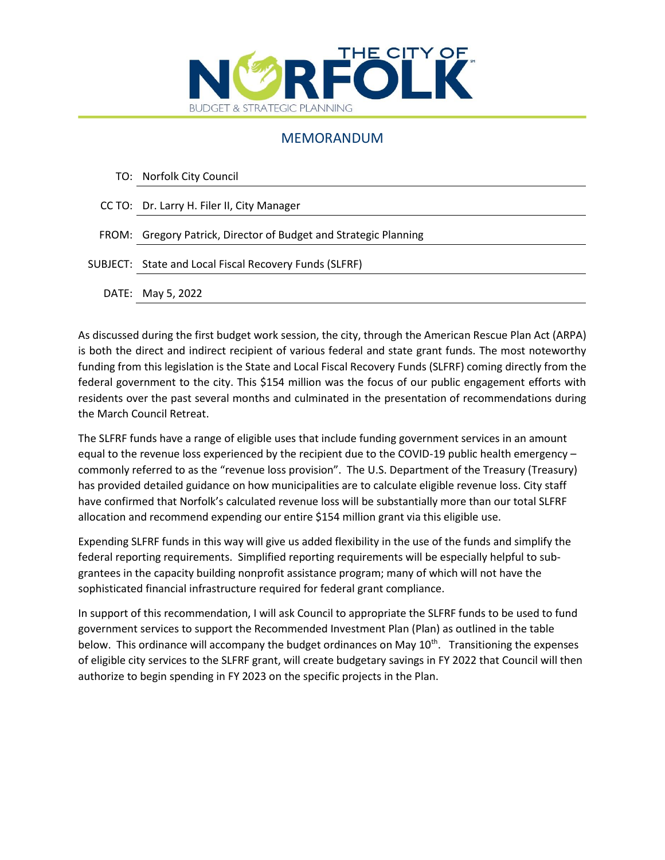

## MEMORANDUM

|  | TO: Norfolk City Council |  |
|--|--------------------------|--|
|--|--------------------------|--|

FROM: Gregory Patrick, Director of Budget and Strategic Planning

|  | SUBJECT: State and Local Fiscal Recovery Funds (SLFRF) |
|--|--------------------------------------------------------|
|--|--------------------------------------------------------|

DATE: May 5, 2022

As discussed during the first budget work session, the city, through the American Rescue Plan Act (ARPA) is both the direct and indirect recipient of various federal and state grant funds. The most noteworthy funding from this legislation is the State and Local Fiscal Recovery Funds (SLFRF) coming directly from the federal government to the city. This \$154 million was the focus of our public engagement efforts with residents over the past several months and culminated in the presentation of recommendations during the March Council Retreat.

The SLFRF funds have a range of eligible uses that include funding government services in an amount equal to the revenue loss experienced by the recipient due to the COVID-19 public health emergency – commonly referred to as the "revenue loss provision". The U.S. Department of the Treasury (Treasury) has provided detailed guidance on how municipalities are to calculate eligible revenue loss. City staff have confirmed that Norfolk's calculated revenue loss will be substantially more than our total SLFRF allocation and recommend expending our entire \$154 million grant via this eligible use.

Expending SLFRF funds in this way will give us added flexibility in the use of the funds and simplify the federal reporting requirements. Simplified reporting requirements will be especially helpful to subgrantees in the capacity building nonprofit assistance program; many of which will not have the sophisticated financial infrastructure required for federal grant compliance.

In support of this recommendation, I will ask Council to appropriate the SLFRF funds to be used to fund government services to support the Recommended Investment Plan (Plan) as outlined in the table below. This ordinance will accompany the budget ordinances on May  $10<sup>th</sup>$ . Transitioning the expenses of eligible city services to the SLFRF grant, will create budgetary savings in FY 2022 that Council will then authorize to begin spending in FY 2023 on the specific projects in the Plan.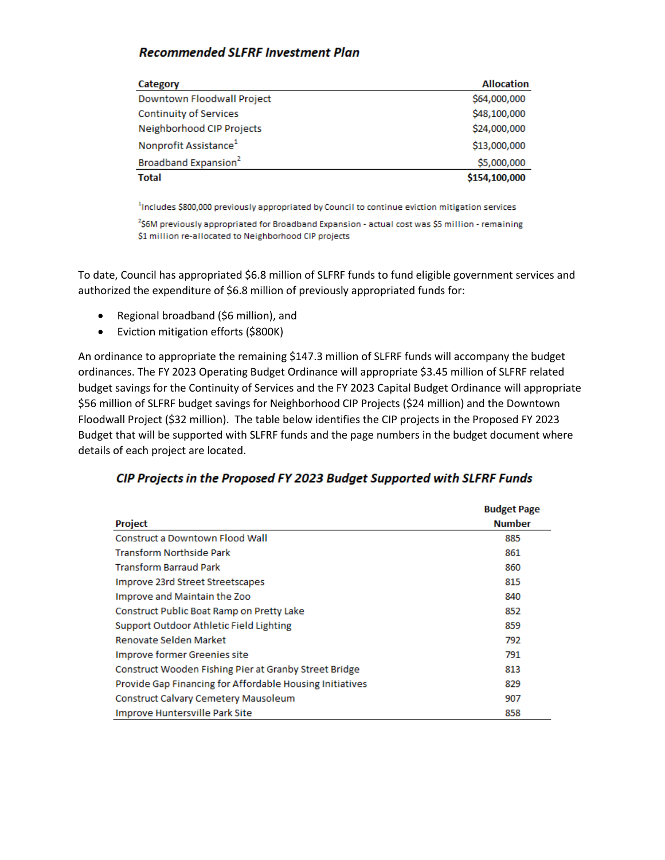## **Recommended SLFRF Investment Plan**

| Category                          | <b>Allocation</b> |
|-----------------------------------|-------------------|
| Downtown Floodwall Project        | \$64,000,000      |
| Continuity of Services            | \$48,100,000      |
| Neighborhood CIP Projects         | \$24,000,000      |
| Nonprofit Assistance <sup>1</sup> | \$13,000,000      |
| Broadband Expansion <sup>2</sup>  | \$5,000,000       |
| <b>Total</b>                      | \$154,100,000     |

<sup>1</sup>Includes \$800,000 previously appropriated by Council to continue eviction mitigation services

<sup>2</sup>\$6M previously appropriated for Broadband Expansion - actual cost was \$5 million - remaining \$1 million re-allocated to Neighborhood CIP projects

To date, Council has appropriated \$6.8 million of SLFRF funds to fund eligible government services and authorized the expenditure of \$6.8 million of previously appropriated funds for:

- Regional broadband (\$6 million), and
- Eviction mitigation efforts (\$800K)

An ordinance to appropriate the remaining \$147.3 million of SLFRF funds will accompany the budget ordinances. The FY 2023 Operating Budget Ordinance will appropriate \$3.45 million of SLFRF related budget savings for the Continuity of Services and the FY 2023 Capital Budget Ordinance will appropriate \$56 million of SLFRF budget savings for Neighborhood CIP Projects (\$24 million) and the Downtown Floodwall Project (\$32 million). The table below identifies the CIP projects in the Proposed FY 2023 Budget that will be supported with SLFRF funds and the page numbers in the budget document where details of each project are located.

## CIP Projects in the Proposed FY 2023 Budget Supported with SLFRF Funds

|                                                          | <b>Budget Page</b> |
|----------------------------------------------------------|--------------------|
| <b>Project</b>                                           | <b>Number</b>      |
| <b>Construct a Downtown Flood Wall</b>                   | 885                |
| <b>Transform Northside Park</b>                          | 861                |
| <b>Transform Barraud Park</b>                            | 860                |
| Improve 23rd Street Streetscapes                         | 815                |
| Improve and Maintain the Zoo                             | 840                |
| Construct Public Boat Ramp on Pretty Lake                | 852                |
| Support Outdoor Athletic Field Lighting                  | 859                |
| Renovate Selden Market                                   | 792                |
| Improve former Greenies site                             | 791                |
| Construct Wooden Fishing Pier at Granby Street Bridge    | 813                |
| Provide Gap Financing for Affordable Housing Initiatives | 829                |
| Construct Calvary Cemetery Mausoleum                     | 907                |
| Improve Huntersville Park Site                           | 858                |